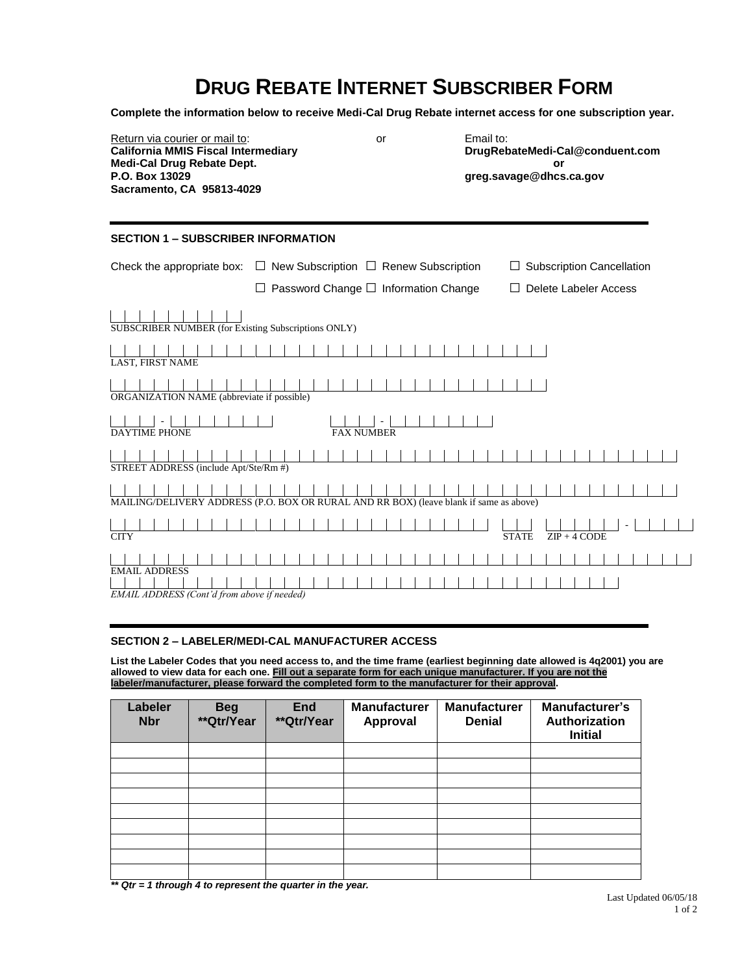# **DRUG REBATE INTERNET SUBSCRIBER FORM**

**Complete the information below to receive Medi-Cal Drug Rebate internet access for one subscription year.**

Return via courier or mail to:<br> **California MMIS Fiscal Intermediary** 
or **California MMIS Fiscal Intermediary** 
or **California MMIS Fiscal Intermediary California MMIS Fiscal Intermediary Medi-Cal Drug Rebate Dept. or Sacramento, CA 95813-4029**

**P.O. Box 13029 greg.savage@dhcs.ca.gov**

## **SECTION 1 – SUBSCRIBER INFORMATION**

|                                                                     | Check the appropriate box: $\Box$ New Subscription $\Box$ Renew Subscription           | $\Box$ Subscription Cancellation |
|---------------------------------------------------------------------|----------------------------------------------------------------------------------------|----------------------------------|
|                                                                     | Password Change □ Information Change                                                   | $\Box$ Delete Labeler Access     |
| SUBSCRIBER NUMBER (for Existing Subscriptions ONLY)                 |                                                                                        |                                  |
| LAST, FIRST NAME                                                    |                                                                                        |                                  |
| ORGANIZATION NAME (abbreviate if possible)                          |                                                                                        |                                  |
| <b>DAYTIME PHONE</b>                                                | <b>FAX NUMBER</b>                                                                      |                                  |
|                                                                     |                                                                                        |                                  |
| STREET ADDRESS (include Apt/Ste/Rm #)                               |                                                                                        |                                  |
|                                                                     |                                                                                        |                                  |
|                                                                     | MAILING/DELIVERY ADDRESS (P.O. BOX OR RURAL AND RR BOX) (leave blank if same as above) |                                  |
|                                                                     |                                                                                        |                                  |
| <b>CITY</b>                                                         |                                                                                        | $ZIP + 4$ CODE<br><b>STATE</b>   |
|                                                                     |                                                                                        |                                  |
| <b>EMAIL ADDRESS</b><br>EMAIL ADDRESS (Cont'd from above if needed) |                                                                                        |                                  |

#### **SECTION 2 – LABELER/MEDI-CAL MANUFACTURER ACCESS**

**List the Labeler Codes that you need access to, and the time frame (earliest beginning date allowed is 4q2001) you are allowed to view data for each one. Fill out a separate form for each unique manufacturer. If you are not the labeler/manufacturer, please forward the completed form to the manufacturer for their approval.**

| Labeler<br><b>Nbr</b> | <b>Beg</b><br>**Qtr/Year | <b>End</b><br>**Qtr/Year | <b>Manufacturer</b><br>Approval | <b>Manufacturer</b><br><b>Denial</b> | Manufacturer's<br>Authorization<br><b>Initial</b> |
|-----------------------|--------------------------|--------------------------|---------------------------------|--------------------------------------|---------------------------------------------------|
|                       |                          |                          |                                 |                                      |                                                   |
|                       |                          |                          |                                 |                                      |                                                   |
|                       |                          |                          |                                 |                                      |                                                   |
|                       |                          |                          |                                 |                                      |                                                   |
|                       |                          |                          |                                 |                                      |                                                   |
|                       |                          |                          |                                 |                                      |                                                   |
|                       |                          |                          |                                 |                                      |                                                   |
|                       |                          |                          |                                 |                                      |                                                   |
|                       |                          |                          |                                 |                                      |                                                   |

*\*\* Qtr = 1 through 4 to represent the quarter in the year.*